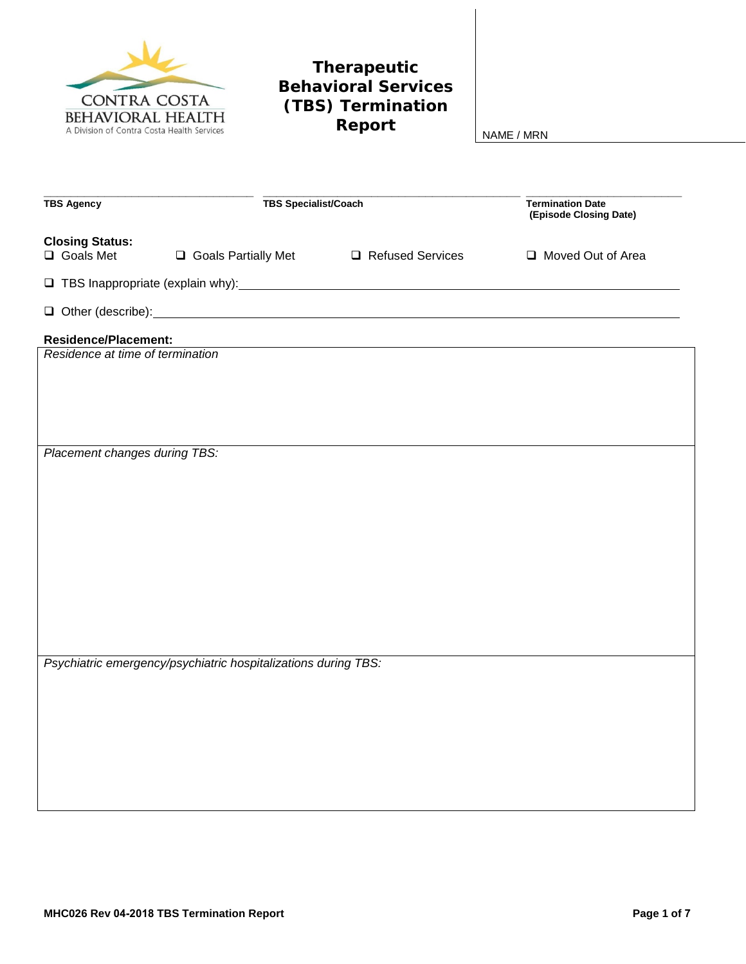

## **Therapeutic Behavioral Services (TBS) Termination**

**Report** NAME / MRN

| <b>TBS Agency</b>                                                                                                                                                                                                                    |  | <b>TBS Specialist/Coach</b> |  | <b>Termination Date</b><br>(Episode Closing Date) |  |  |
|--------------------------------------------------------------------------------------------------------------------------------------------------------------------------------------------------------------------------------------|--|-----------------------------|--|---------------------------------------------------|--|--|
| <b>Closing Status:</b><br>□ Goals Met<br>□ Goals Partially Met                                                                                                                                                                       |  | Refused Services            |  | Moved Out of Area                                 |  |  |
| TBS Inappropriate (explain why): \\conconnect \\connect \\connect \\connect \\connect \\connect \\connect \\connect \\connect \\connect \\connect \\connect \\connect \\connect \\connect \\connect \\connect \\connect \\conn       |  |                             |  |                                                   |  |  |
| Other (describe): <u>contract and the contract of the contract of the contract of the contract of the contract of the contract of the contract of the contract of the contract of the contract of the contract of the contract o</u> |  |                             |  |                                                   |  |  |
| <b>Residence/Placement:</b>                                                                                                                                                                                                          |  |                             |  |                                                   |  |  |
| Residence at time of termination                                                                                                                                                                                                     |  |                             |  |                                                   |  |  |
|                                                                                                                                                                                                                                      |  |                             |  |                                                   |  |  |
|                                                                                                                                                                                                                                      |  |                             |  |                                                   |  |  |
|                                                                                                                                                                                                                                      |  |                             |  |                                                   |  |  |
| Placement changes during TBS:                                                                                                                                                                                                        |  |                             |  |                                                   |  |  |
|                                                                                                                                                                                                                                      |  |                             |  |                                                   |  |  |
|                                                                                                                                                                                                                                      |  |                             |  |                                                   |  |  |
|                                                                                                                                                                                                                                      |  |                             |  |                                                   |  |  |
|                                                                                                                                                                                                                                      |  |                             |  |                                                   |  |  |
|                                                                                                                                                                                                                                      |  |                             |  |                                                   |  |  |
|                                                                                                                                                                                                                                      |  |                             |  |                                                   |  |  |
|                                                                                                                                                                                                                                      |  |                             |  |                                                   |  |  |
| Psychiatric emergency/psychiatric hospitalizations during TBS:                                                                                                                                                                       |  |                             |  |                                                   |  |  |
|                                                                                                                                                                                                                                      |  |                             |  |                                                   |  |  |
|                                                                                                                                                                                                                                      |  |                             |  |                                                   |  |  |
|                                                                                                                                                                                                                                      |  |                             |  |                                                   |  |  |
|                                                                                                                                                                                                                                      |  |                             |  |                                                   |  |  |
|                                                                                                                                                                                                                                      |  |                             |  |                                                   |  |  |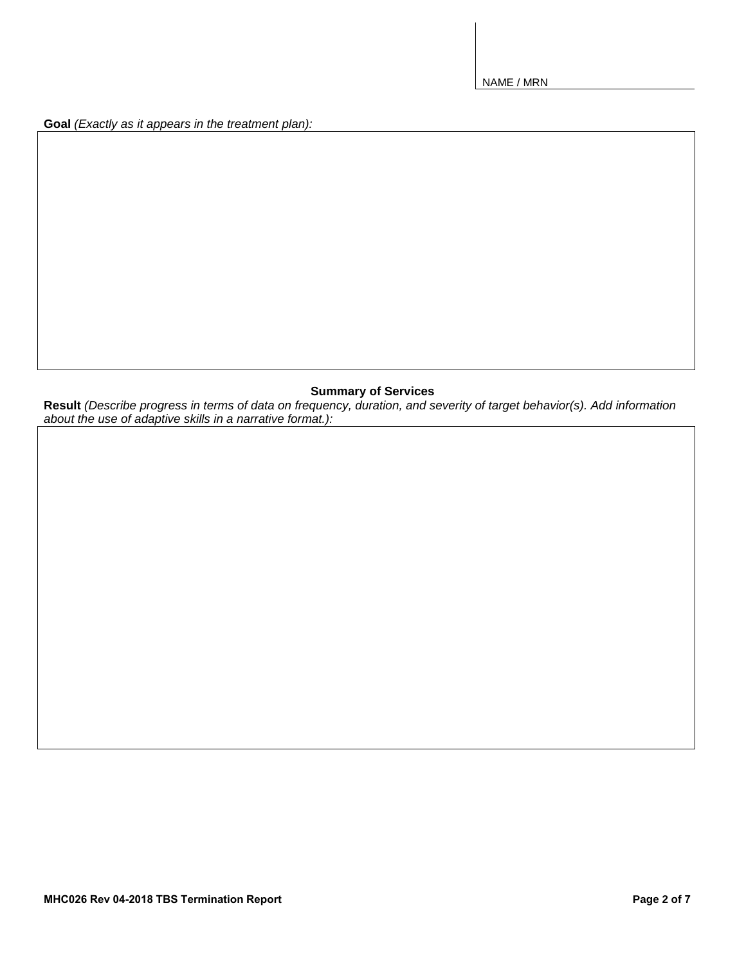**Goal** *(Exactly as it appears in the treatment plan):*

## **Summary of Services**

**Result** *(Describe progress in terms of data on frequency, duration, and severity of target behavior(s). Add information about the use of adaptive skills in a narrative format.):*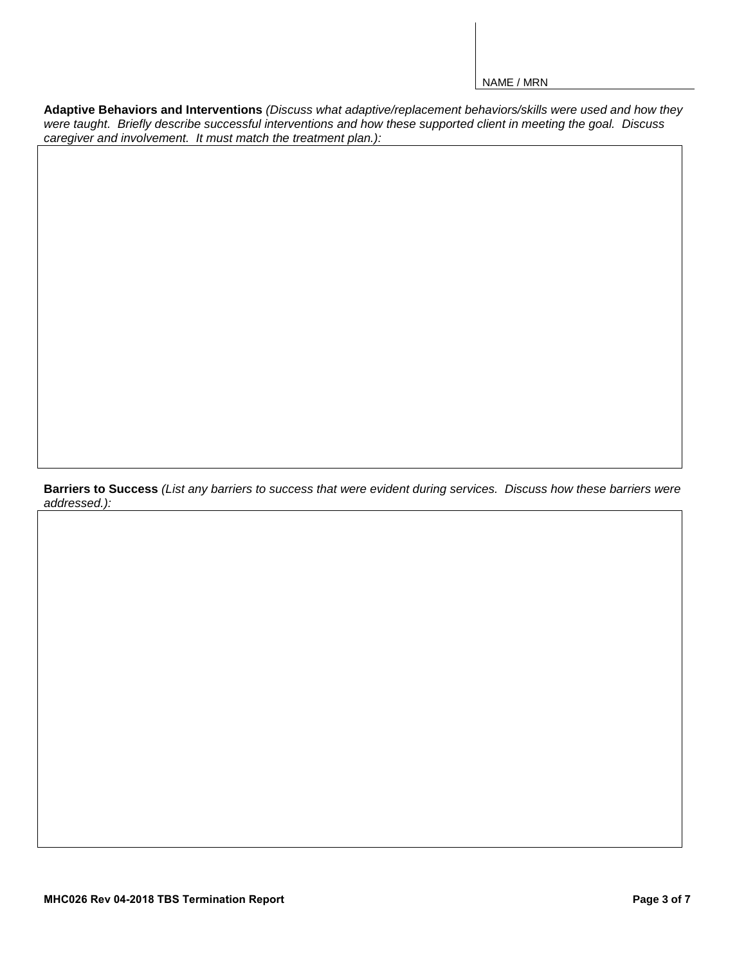**Adaptive Behaviors and Interventions** *(Discuss what adaptive/replacement behaviors/skills were used and how they were taught. Briefly describe successful interventions and how these supported client in meeting the goal. Discuss caregiver and involvement. It must match the treatment plan.):*

**Barriers to Success** *(List any barriers to success that were evident during services. Discuss how these barriers were addressed.):*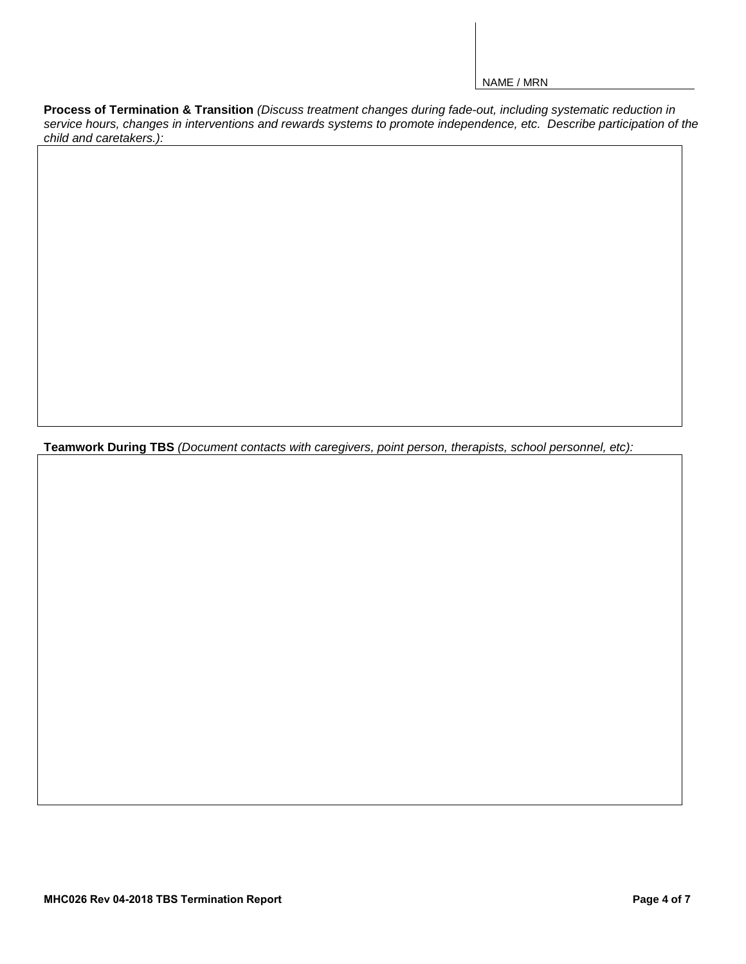Process of Termination & Transition (Discuss treatment changes during fade-out, including systematic reduction in *service hours, changes in interventions and rewards systems to promote independence, etc. Describe participation of the child and caretakers.):*

**Teamwork During TBS** *(Document contacts with caregivers, point person, therapists, school personnel, etc):*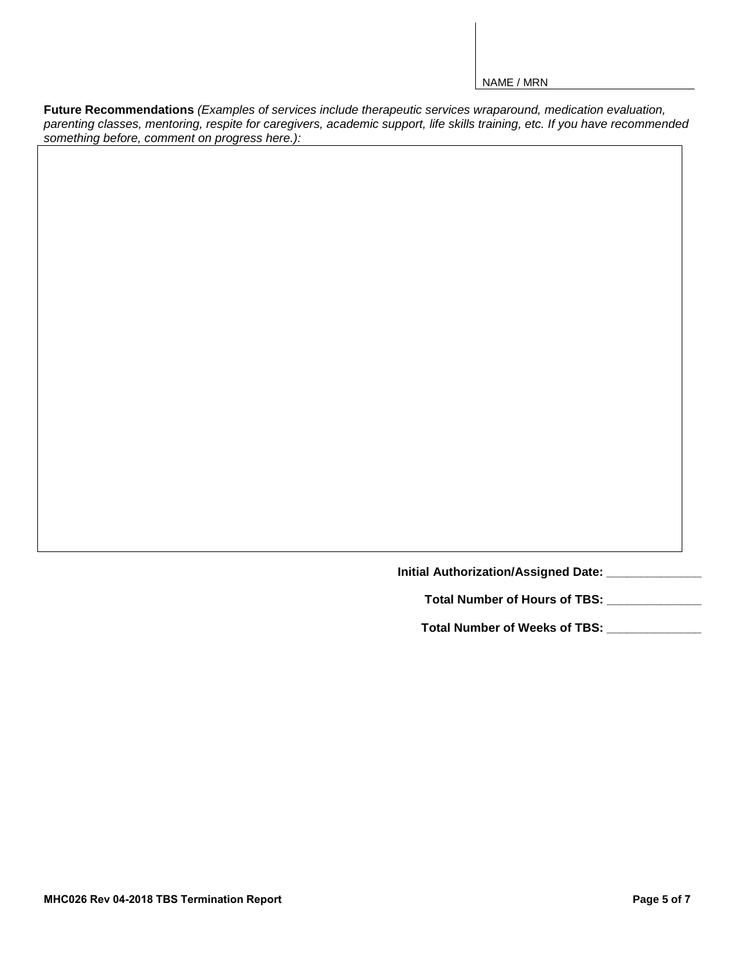**Future Recommendations** *(Examples of services include therapeutic services wraparound, medication evaluation, parenting classes, mentoring, respite for caregivers, academic support, life skills training, etc. If you have recommended something before, comment on progress here.):*

**Initial Authorization/Assigned Date: \_\_\_\_\_\_\_\_\_\_\_\_\_\_** 

**Total Number of Hours of TBS: \_\_\_\_\_\_\_\_\_\_\_\_\_\_** 

**Total Number of Weeks of TBS: \_\_\_\_\_\_\_\_\_\_\_\_\_\_**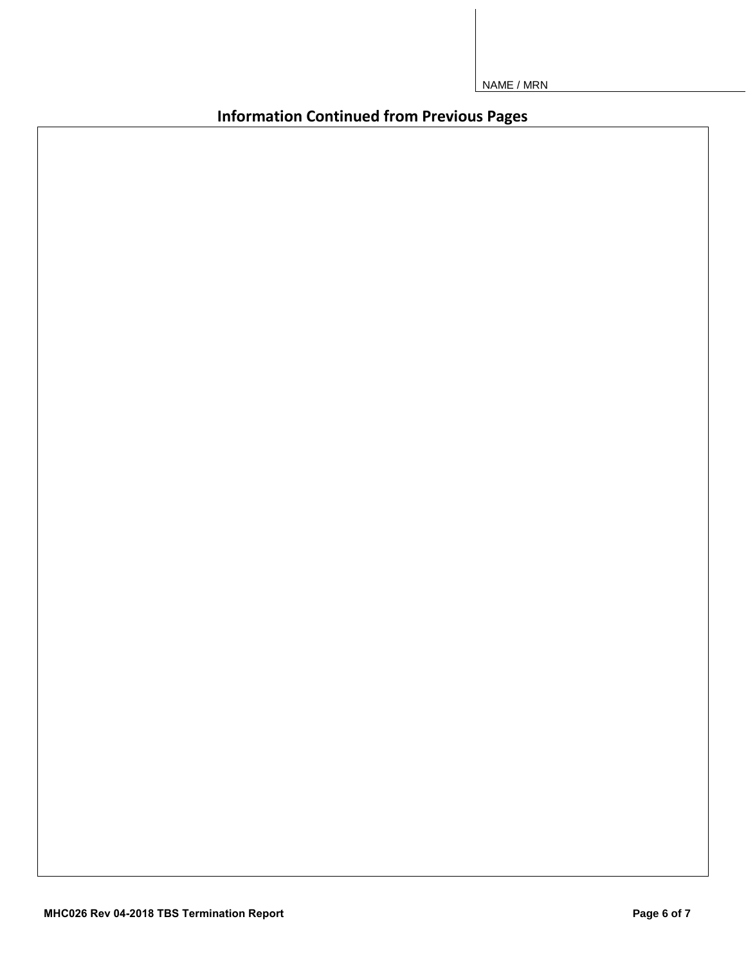**Information Continued from Previous Pages**